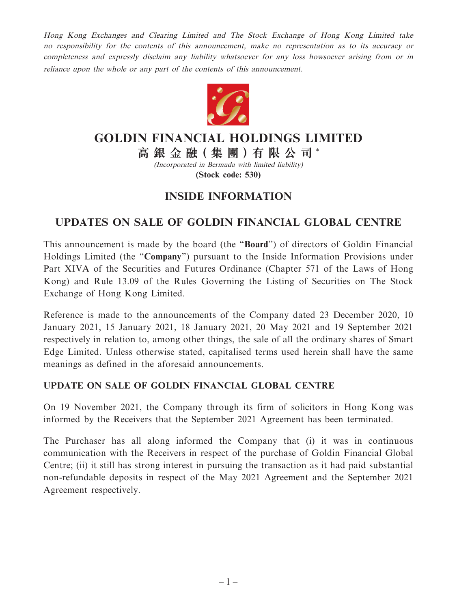Hong Kong Exchanges and Clearing Limited and The Stock Exchange of Hong Kong Limited take no responsibility for the contents of this announcement, make no representation as to its accuracy or completeness and expressly disclaim any liability whatsoever for any loss howsoever arising from or in reliance upon the whole or any part of the contents of this announcement.



## **GOLDIN FINANCIAL HOLDINGS LIMITED**

**高 銀 金 融( 集 團 )有 限 公 司** \*

(Incorporated in Bermuda with limited liability) **(Stock code: 530)**

## **INSIDE INFORMATION**

## **UPDATES ON SALE OF GOLDIN FINANCIAL GLOBAL CENTRE**

This announcement is made by the board (the "**Board**") of directors of Goldin Financial Holdings Limited (the "**Company**") pursuant to the Inside Information Provisions under Part XIVA of the Securities and Futures Ordinance (Chapter 571 of the Laws of Hong Kong) and Rule 13.09 of the Rules Governing the Listing of Securities on The Stock Exchange of Hong Kong Limited.

Reference is made to the announcements of the Company dated 23 December 2020, 10 January 2021, 15 January 2021, 18 January 2021, 20 May 2021 and 19 September 2021 respectively in relation to, among other things, the sale of all the ordinary shares of Smart Edge Limited. Unless otherwise stated, capitalised terms used herein shall have the same meanings as defined in the aforesaid announcements.

## **UPDATE ON SALE OF GOLDIN FINANCIAL GLOBAL CENTRE**

On 19 November 2021, the Company through its firm of solicitors in Hong Kong was informed by the Receivers that the September 2021 Agreement has been terminated.

The Purchaser has all along informed the Company that (i) it was in continuous communication with the Receivers in respect of the purchase of Goldin Financial Global Centre; (ii) it still has strong interest in pursuing the transaction as it had paid substantial non-refundable deposits in respect of the May 2021 Agreement and the September 2021 Agreement respectively.